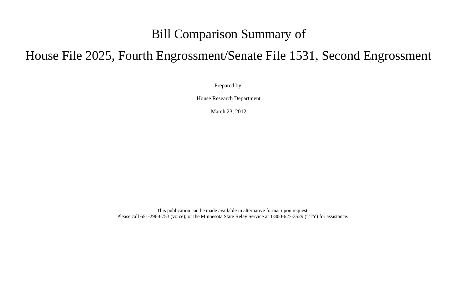## Bill Comparison Summary of

## House File 2025, Fourth Engrossment/Senate File 1531, Second Engrossment

Prepared by:

House Research Department

March 23, 2012

This publication can be made available in alternative format upon request. Please call 651-296-6753 (voice); or the Minnesota State Relay Service at 1-800-627-3529 (TTY) for assistance.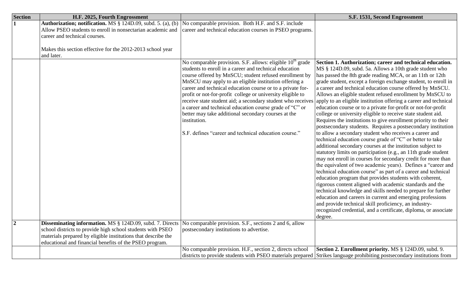| <b>Section</b> | H.F. 2025, Fourth Engrossment                                                                                                                                                                                                                       |                                                                                                                                                                                                                                                                                                                                                                                                                                                                                                                                                                                                                                                                                                                                                             | S.F. 1531, Second Engrossment                                                                                                                                                                                                                                                                                                                                                                                                                                                                                                                                                                                                                                                                                                                                                                                                                                                                                                                                                                                                                                                                                                                                                                                                                                                                                                                                      |
|----------------|-----------------------------------------------------------------------------------------------------------------------------------------------------------------------------------------------------------------------------------------------------|-------------------------------------------------------------------------------------------------------------------------------------------------------------------------------------------------------------------------------------------------------------------------------------------------------------------------------------------------------------------------------------------------------------------------------------------------------------------------------------------------------------------------------------------------------------------------------------------------------------------------------------------------------------------------------------------------------------------------------------------------------------|--------------------------------------------------------------------------------------------------------------------------------------------------------------------------------------------------------------------------------------------------------------------------------------------------------------------------------------------------------------------------------------------------------------------------------------------------------------------------------------------------------------------------------------------------------------------------------------------------------------------------------------------------------------------------------------------------------------------------------------------------------------------------------------------------------------------------------------------------------------------------------------------------------------------------------------------------------------------------------------------------------------------------------------------------------------------------------------------------------------------------------------------------------------------------------------------------------------------------------------------------------------------------------------------------------------------------------------------------------------------|
|                | Authorization; notification. MS § 124D.09, subd. 5. (a), (b)<br>Allow PSEO students to enroll in nonsectarian academic and<br>career and technical courses.<br>Makes this section effective for the 2012-2013 school year<br>and later.             | No comparable provision. Both H.F. and S.F. include<br>career and technical education courses in PSEO programs.<br>No comparable provision. S.F. allows: eligible 10 <sup>th</sup> grade<br>students to enroll in a career and technical education<br>course offered by MnSCU; student refused enrollment by<br>MnSCU may apply to an eligible institution offering a<br>career and technical education course or to a private for-<br>profit or not-for-profit college or university eligible to<br>receive state student aid; a secondary student who receives<br>a career and technical education course grade of "C" or<br>better may take additional secondary courses at the<br>institution.<br>S.F. defines "career and technical education course." | Section 1. Authorization; career and technical education.<br>MS § 124D.09, subd. 5a. Allows a 10th grade student who<br>has passed the 8th grade reading MCA, or an 11th or 12th<br>grade student, except a foreign exchange student, to enroll in<br>a career and technical education course offered by MnSCU.<br>Allows an eligible student refused enrollment by MnSCU to<br>apply to an eligible institution offering a career and technical<br>education course or to a private for-profit or not-for-profit<br>college or university eligible to receive state student aid.<br>Requires the institutions to give enrollment priority to their<br>postsecondary students. Requires a postsecondary institution<br>to allow a secondary student who receives a career and<br>technical education course grade of "C" or better to take<br>additional secondary courses at the institution subject to<br>statutory limits on participation (e.g., an 11th grade student<br>may not enroll in courses for secondary credit for more than<br>the equivalent of two academic years). Defines a "career and<br>technical education course" as part of a career and technical<br>education program that provides students with coherent,<br>rigorous content aligned with academic standards and the<br>technical knowledge and skills needed to prepare for further |
|                |                                                                                                                                                                                                                                                     |                                                                                                                                                                                                                                                                                                                                                                                                                                                                                                                                                                                                                                                                                                                                                             | education and careers in current and emerging professions<br>and provide technical skill proficiency, an industry-<br>recognized credential, and a certificate, diploma, or associate<br>degree.                                                                                                                                                                                                                                                                                                                                                                                                                                                                                                                                                                                                                                                                                                                                                                                                                                                                                                                                                                                                                                                                                                                                                                   |
|                | Disseminating information. MS § 124D.09, subd. 7. Directs<br>school districts to provide high school students with PSEO<br>materials prepared by eligible institutions that describe the<br>educational and financial benefits of the PSEO program. | No comparable provision. S.F., sections 2 and 6, allow<br>postsecondary institutions to advertise.                                                                                                                                                                                                                                                                                                                                                                                                                                                                                                                                                                                                                                                          |                                                                                                                                                                                                                                                                                                                                                                                                                                                                                                                                                                                                                                                                                                                                                                                                                                                                                                                                                                                                                                                                                                                                                                                                                                                                                                                                                                    |
|                |                                                                                                                                                                                                                                                     | No comparable provision. H.F., section 2, directs school                                                                                                                                                                                                                                                                                                                                                                                                                                                                                                                                                                                                                                                                                                    | <b>Section 2. Enrollment priority.</b> MS § 124D.09, subd. 9.<br>districts to provide students with PSEO materials prepared Strikes language prohibiting postsecondary institutions from                                                                                                                                                                                                                                                                                                                                                                                                                                                                                                                                                                                                                                                                                                                                                                                                                                                                                                                                                                                                                                                                                                                                                                           |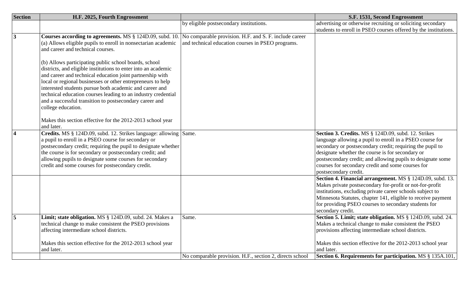| <b>Section</b> | H.F. 2025, Fourth Engrossment                                                                                                                                                                                                                                                                                                                                                                                                                                                                                                                                                                                                      |                                                                                                             | S.F. 1531, Second Engrossment                                                                                                                                                                                                                                                                                                                                                 |
|----------------|------------------------------------------------------------------------------------------------------------------------------------------------------------------------------------------------------------------------------------------------------------------------------------------------------------------------------------------------------------------------------------------------------------------------------------------------------------------------------------------------------------------------------------------------------------------------------------------------------------------------------------|-------------------------------------------------------------------------------------------------------------|-------------------------------------------------------------------------------------------------------------------------------------------------------------------------------------------------------------------------------------------------------------------------------------------------------------------------------------------------------------------------------|
|                |                                                                                                                                                                                                                                                                                                                                                                                                                                                                                                                                                                                                                                    | by eligible postsecondary institutions.                                                                     | advertising or otherwise recruiting or soliciting secondary                                                                                                                                                                                                                                                                                                                   |
|                |                                                                                                                                                                                                                                                                                                                                                                                                                                                                                                                                                                                                                                    |                                                                                                             | students to enroll in PSEO courses offered by the institutions.                                                                                                                                                                                                                                                                                                               |
| $\overline{3}$ | Courses according to agreements. MS § 124D.09, subd. 10.<br>(a) Allows eligible pupils to enroll in nonsectarian academic<br>and career and technical courses.<br>(b) Allows participating public school boards, school<br>districts, and eligible institutions to enter into an academic<br>and career and technical education joint partnership with<br>local or regional businesses or other entrepreneurs to help<br>interested students pursue both academic and career and<br>technical education courses leading to an industry credential<br>and a successful transition to postsecondary career and<br>college education. | No comparable provision. H.F. and S. F. include career<br>and technical education courses in PSEO programs. |                                                                                                                                                                                                                                                                                                                                                                               |
|                | Makes this section effective for the 2012-2013 school year<br>and later.                                                                                                                                                                                                                                                                                                                                                                                                                                                                                                                                                           |                                                                                                             |                                                                                                                                                                                                                                                                                                                                                                               |
| $\overline{4}$ | Credits. MS § 124D.09, subd. 12. Strikes language: allowing Same.<br>a pupil to enroll in a PSEO course for secondary or<br>postsecondary credit; requiring the pupil to designate whether<br>the course is for secondary or postsecondary credit; and<br>allowing pupils to designate some courses for secondary<br>credit and some courses for postsecondary credit.                                                                                                                                                                                                                                                             |                                                                                                             | Section 3. Credits. MS § 124D.09, subd. 12. Strikes<br>language allowing a pupil to enroll in a PSEO course for<br>secondary or postsecondary credit; requiring the pupil to<br>designate whether the course is for secondary or<br>postsecondary credit; and allowing pupils to designate some<br>courses for secondary credit and some courses for<br>postsecondary credit. |
|                |                                                                                                                                                                                                                                                                                                                                                                                                                                                                                                                                                                                                                                    |                                                                                                             | Section 4. Financial arrangement. MS § 124D.09, subd. 13.<br>Makes private postsecondary for-profit or not-for-profit<br>institutions, excluding private career schools subject to<br>Minnesota Statutes, chapter 141, eligible to receive payment<br>for providing PSEO courses to secondary students for<br>secondary credit.                                               |
| $\overline{5}$ | Limit; state obligation. MS § 124D.09, subd. 24. Makes a<br>technical change to make consistent the PSEO provisions<br>affecting intermediate school districts.<br>Makes this section effective for the 2012-2013 school year                                                                                                                                                                                                                                                                                                                                                                                                      | Same.                                                                                                       | Section 5. Limit; state obligation. MS § 124D.09, subd. 24.<br>Makes a technical change to make consistent the PSEO<br>provisions affecting intermediate school districts.<br>Makes this section effective for the 2012-2013 school year                                                                                                                                      |
|                | and later.                                                                                                                                                                                                                                                                                                                                                                                                                                                                                                                                                                                                                         | No comparable provision. H.F., section 2, directs school                                                    | and later.<br>Section 6. Requirements for participation. MS § 135A.101,                                                                                                                                                                                                                                                                                                       |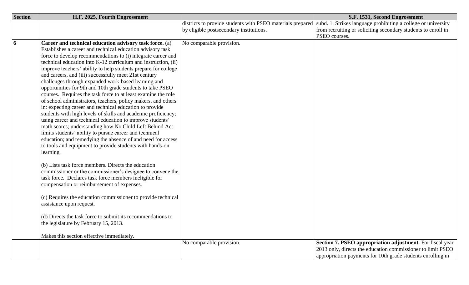| <b>Section</b>          | H.F. 2025, Fourth Engrossment                                  |                                         | S.F. 1531, Second Engrossment                                                                                            |
|-------------------------|----------------------------------------------------------------|-----------------------------------------|--------------------------------------------------------------------------------------------------------------------------|
|                         |                                                                |                                         | districts to provide students with PSEO materials prepared subd. 1. Strikes language prohibiting a college or university |
|                         |                                                                | by eligible postsecondary institutions. | from recruiting or soliciting secondary students to enroll in                                                            |
|                         |                                                                |                                         | PSEO courses.                                                                                                            |
| $\overline{\mathbf{6}}$ | Career and technical education advisory task force. (a)        | No comparable provision.                |                                                                                                                          |
|                         | Establishes a career and technical education advisory task     |                                         |                                                                                                                          |
|                         | force to develop recommendations to (i) integrate career and   |                                         |                                                                                                                          |
|                         | technical education into K-12 curriculum and instruction, (ii) |                                         |                                                                                                                          |
|                         | improve teachers' ability to help students prepare for college |                                         |                                                                                                                          |
|                         | and careers, and (iii) successfully meet 21st century          |                                         |                                                                                                                          |
|                         | challenges through expanded work-based learning and            |                                         |                                                                                                                          |
|                         | opportunities for 9th and 10th grade students to take PSEO     |                                         |                                                                                                                          |
|                         | courses. Requires the task force to at least examine the role  |                                         |                                                                                                                          |
|                         | of school administrators, teachers, policy makers, and others  |                                         |                                                                                                                          |
|                         | in: expecting career and technical education to provide        |                                         |                                                                                                                          |
|                         | students with high levels of skills and academic proficiency;  |                                         |                                                                                                                          |
|                         | using career and technical education to improve students'      |                                         |                                                                                                                          |
|                         | math scores; understanding how No Child Left Behind Act        |                                         |                                                                                                                          |
|                         | limits students' ability to pursue career and technical        |                                         |                                                                                                                          |
|                         | education; and remedying the absence of and need for access    |                                         |                                                                                                                          |
|                         | to tools and equipment to provide students with hands-on       |                                         |                                                                                                                          |
|                         | learning.                                                      |                                         |                                                                                                                          |
|                         |                                                                |                                         |                                                                                                                          |
|                         | (b) Lists task force members. Directs the education            |                                         |                                                                                                                          |
|                         | commissioner or the commissioner's designee to convene the     |                                         |                                                                                                                          |
|                         | task force. Declares task force members ineligible for         |                                         |                                                                                                                          |
|                         | compensation or reimbursement of expenses.                     |                                         |                                                                                                                          |
|                         |                                                                |                                         |                                                                                                                          |
|                         | (c) Requires the education commissioner to provide technical   |                                         |                                                                                                                          |
|                         | assistance upon request.                                       |                                         |                                                                                                                          |
|                         | (d) Directs the task force to submit its recommendations to    |                                         |                                                                                                                          |
|                         | the legislature by February 15, 2013.                          |                                         |                                                                                                                          |
|                         |                                                                |                                         |                                                                                                                          |
|                         | Makes this section effective immediately.                      |                                         |                                                                                                                          |
|                         |                                                                | No comparable provision.                | Section 7. PSEO appropriation adjustment. For fiscal year                                                                |
|                         |                                                                |                                         | 2013 only, directs the education commissioner to limit PSEO                                                              |
|                         |                                                                |                                         | appropriation payments for 10th grade students enrolling in                                                              |